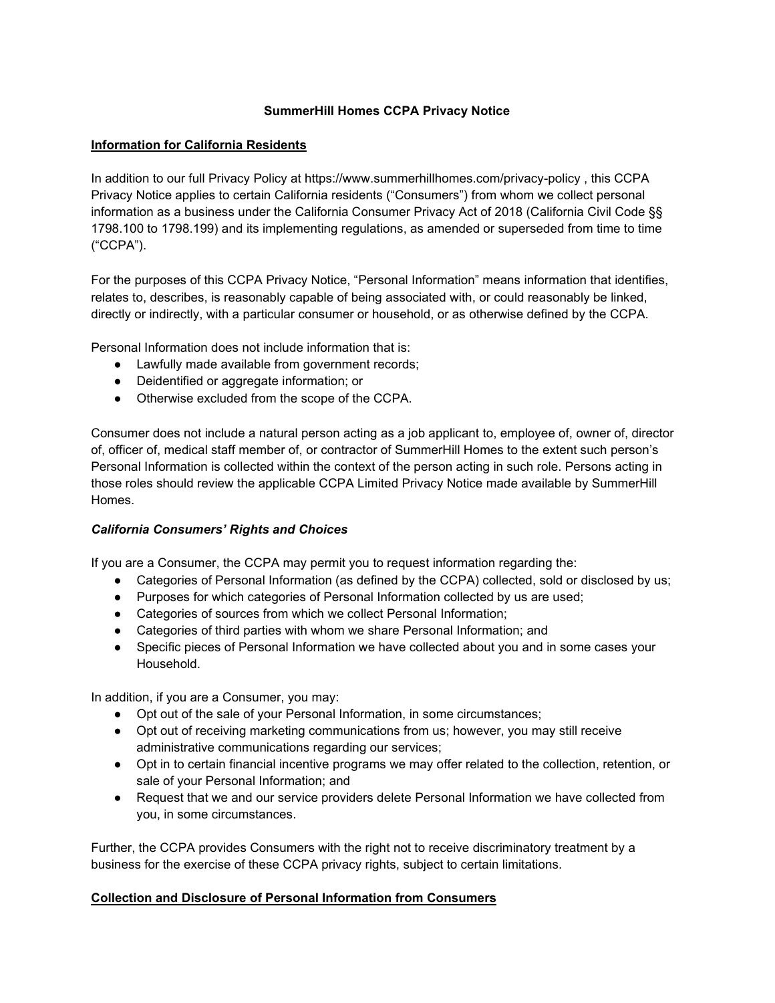## **SummerHill Homes CCPA Privacy Notice**

### **Information for California Residents**

In addition to our full Privacy Policy at https://www.summerhillhomes.com/privacy-policy , this CCPA Privacy Notice applies to certain California residents ("Consumers") from whom we collect personal information as a business under the California Consumer Privacy Act of 2018 (California Civil Code §§ 1798.100 to 1798.199) and its implementing regulations, as amended or superseded from time to time ("CCPA").

For the purposes of this CCPA Privacy Notice, "Personal Information" means information that identifies, relates to, describes, is reasonably capable of being associated with, or could reasonably be linked, directly or indirectly, with a particular consumer or household, or as otherwise defined by the CCPA.

Personal Information does not include information that is:

- Lawfully made available from government records:
- Deidentified or aggregate information; or
- Otherwise excluded from the scope of the CCPA.

Consumer does not include a natural person acting as a job applicant to, employee of, owner of, director of, officer of, medical staff member of, or contractor of SummerHill Homes to the extent such person's Personal Information is collected within the context of the person acting in such role. Persons acting in those roles should review the applicable CCPA Limited Privacy Notice made available by SummerHill Homes.

### *California Consumers' Rights and Choices*

If you are a Consumer, the CCPA may permit you to request information regarding the:

- Categories of Personal Information (as defined by the CCPA) collected, sold or disclosed by us;
- Purposes for which categories of Personal Information collected by us are used;
- Categories of sources from which we collect Personal Information;
- Categories of third parties with whom we share Personal Information; and
- Specific pieces of Personal Information we have collected about you and in some cases your Household.

In addition, if you are a Consumer, you may:

- Opt out of the sale of your Personal Information, in some circumstances;
- Opt out of receiving marketing communications from us; however, you may still receive administrative communications regarding our services;
- Opt in to certain financial incentive programs we may offer related to the collection, retention, or sale of your Personal Information; and
- Request that we and our service providers delete Personal Information we have collected from you, in some circumstances.

Further, the CCPA provides Consumers with the right not to receive discriminatory treatment by a business for the exercise of these CCPA privacy rights, subject to certain limitations.

### **Collection and Disclosure of Personal Information from Consumers**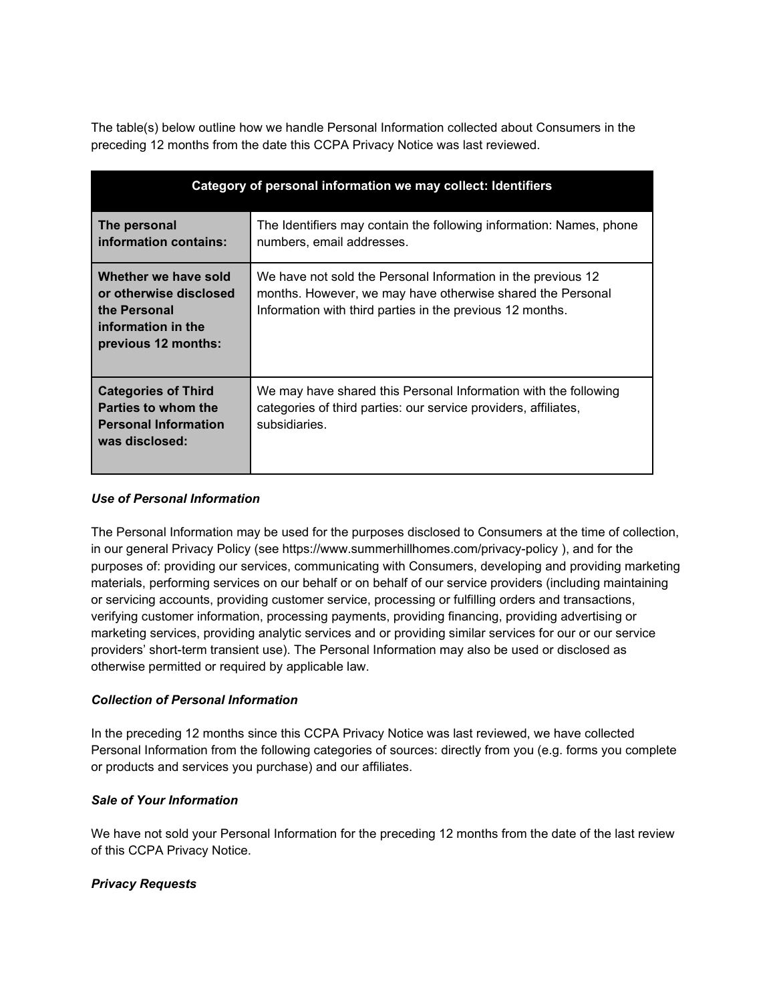The table(s) below outline how we handle Personal Information collected about Consumers in the preceding 12 months from the date this CCPA Privacy Notice was last reviewed.

| Category of personal information we may collect: Identifiers                                                |                                                                                                                                                                                         |
|-------------------------------------------------------------------------------------------------------------|-----------------------------------------------------------------------------------------------------------------------------------------------------------------------------------------|
| The personal<br>information contains:                                                                       | The Identifiers may contain the following information: Names, phone<br>numbers, email addresses.                                                                                        |
| Whether we have sold<br>or otherwise disclosed<br>the Personal<br>information in the<br>previous 12 months: | We have not sold the Personal Information in the previous 12<br>months. However, we may have otherwise shared the Personal<br>Information with third parties in the previous 12 months. |
| <b>Categories of Third</b><br>Parties to whom the<br><b>Personal Information</b><br>was disclosed:          | We may have shared this Personal Information with the following<br>categories of third parties: our service providers, affiliates,<br>subsidiaries.                                     |

## *Use of Personal Information*

The Personal Information may be used for the purposes disclosed to Consumers at the time of collection, in our general Privacy Policy (see https://www.summerhillhomes.com/privacy-policy ), and for the purposes of: providing our services, communicating with Consumers, developing and providing marketing materials, performing services on our behalf or on behalf of our service providers (including maintaining or servicing accounts, providing customer service, processing or fulfilling orders and transactions, verifying customer information, processing payments, providing financing, providing advertising or marketing services, providing analytic services and or providing similar services for our or our service providers' short-term transient use). The Personal Information may also be used or disclosed as otherwise permitted or required by applicable law.

### *Collection of Personal Information*

In the preceding 12 months since this CCPA Privacy Notice was last reviewed, we have collected Personal Information from the following categories of sources: directly from you (e.g. forms you complete or products and services you purchase) and our affiliates.

### *Sale of Your Information*

We have not sold your Personal Information for the preceding 12 months from the date of the last review of this CCPA Privacy Notice.

### *Privacy Requests*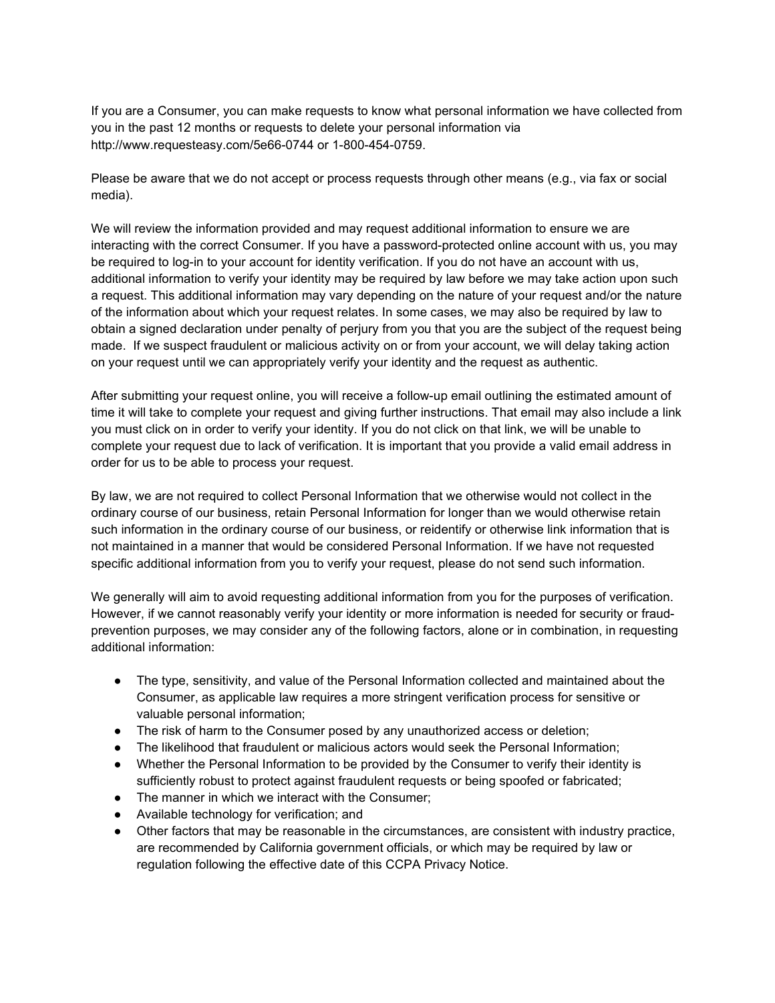If you are a Consumer, you can make requests to know what personal information we have collected from you in the past 12 months or requests to delete your personal information via http://www.requesteasy.com/5e66-0744 or 1-800-454-0759.

Please be aware that we do not accept or process requests through other means (e.g., via fax or social media).

We will review the information provided and may request additional information to ensure we are interacting with the correct Consumer. If you have a password-protected online account with us, you may be required to log-in to your account for identity verification. If you do not have an account with us, additional information to verify your identity may be required by law before we may take action upon such a request. This additional information may vary depending on the nature of your request and/or the nature of the information about which your request relates. In some cases, we may also be required by law to obtain a signed declaration under penalty of perjury from you that you are the subject of the request being made. If we suspect fraudulent or malicious activity on or from your account, we will delay taking action on your request until we can appropriately verify your identity and the request as authentic.

After submitting your request online, you will receive a follow-up email outlining the estimated amount of time it will take to complete your request and giving further instructions. That email may also include a link you must click on in order to verify your identity. If you do not click on that link, we will be unable to complete your request due to lack of verification. It is important that you provide a valid email address in order for us to be able to process your request.

By law, we are not required to collect Personal Information that we otherwise would not collect in the ordinary course of our business, retain Personal Information for longer than we would otherwise retain such information in the ordinary course of our business, or reidentify or otherwise link information that is not maintained in a manner that would be considered Personal Information. If we have not requested specific additional information from you to verify your request, please do not send such information.

We generally will aim to avoid requesting additional information from you for the purposes of verification. However, if we cannot reasonably verify your identity or more information is needed for security or fraudprevention purposes, we may consider any of the following factors, alone or in combination, in requesting additional information:

- The type, sensitivity, and value of the Personal Information collected and maintained about the Consumer, as applicable law requires a more stringent verification process for sensitive or valuable personal information;
- The risk of harm to the Consumer posed by any unauthorized access or deletion;
- The likelihood that fraudulent or malicious actors would seek the Personal Information;
- Whether the Personal Information to be provided by the Consumer to verify their identity is sufficiently robust to protect against fraudulent requests or being spoofed or fabricated;
- The manner in which we interact with the Consumer;
- Available technology for verification; and
- Other factors that may be reasonable in the circumstances, are consistent with industry practice, are recommended by California government officials, or which may be required by law or regulation following the effective date of this CCPA Privacy Notice.